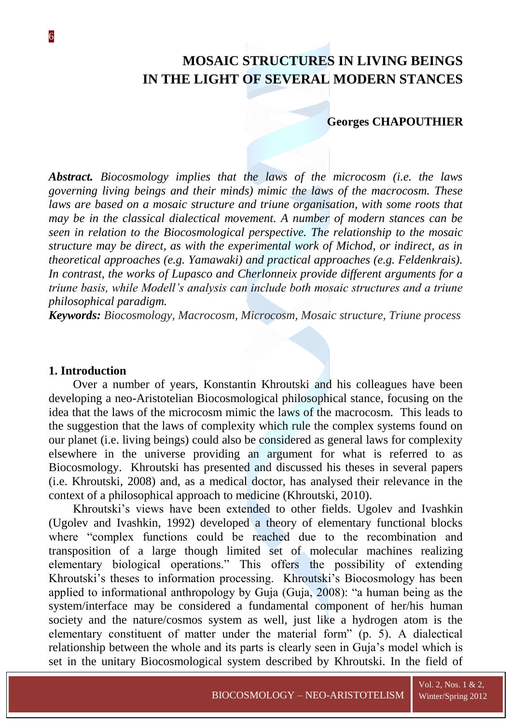# **MOSAIC STRUCTURES IN LIVING BEINGS IN THE LIGHT OF SEVERAL MODERN STANCES**

#### **Georges CHAPOUTHIER**

*Abstract. Biocosmology implies that the laws of the microcosm (i.e. the laws governing living beings and their minds) mimic the laws of the macrocosm. These laws are based on a mosaic structure and triune organisation, with some roots that may be in the classical dialectical movement. A number of modern stances can be seen in relation to the Biocosmological perspective. The relationship to the mosaic structure may be direct, as with the experimental work of Michod, or indirect, as in theoretical approaches (e.g. Yamawaki) and practical approaches (e.g. Feldenkrais). In contrast, the works of Lupasco and Cherlonneix provide different arguments for a triune basis, while Modell's analysis can include both mosaic structures and a triune philosophical paradigm.*

*Keywords: Biocosmology, Macrocosm, Microcosm, Mosaic structure, Triune process*

#### **1. Introduction**

Over a number of years, Konstantin Khroutski and his colleagues have been developing a neo-Aristotelian Biocosmological philosophical stance, focusing on the idea that the laws of the microcosm mimic the laws of the macrocosm. This leads to the suggestion that the laws of complexity which rule the complex systems found on our planet (i.e. living beings) could also be considered as general laws for complexity elsewhere in the universe providing an argument for what is referred to as Biocosmology. Khroutski has presented and discussed his theses in several papers (i.e. Khroutski, 2008) and, as a medical doctor, has analysed their relevance in the context of a philosophical approach to medicine (Khroutski, 2010).

Khroutski's views have been extended to other fields. Ugolev and Ivashkin (Ugolev and Ivashkin, 1992) developed a theory of elementary functional blocks where "complex functions could be reached due to the recombination and transposition of a large though limited set of molecular machines realizing elementary biological operations." This offers the possibility of extending Khroutski's theses to information processing. Khroutski's Biocosmology has been applied to informational anthropology by Guja (Guja, 2008): "a human being as the system/interface may be considered a fundamental component of her/his human society and the nature/cosmos system as well, just like a hydrogen atom is the elementary constituent of matter under the material form" (p. 5). A dialectical relationship between the whole and its parts is clearly seen in Guja's model which is set in the unitary Biocosmological system described by Khroutski. In the field of

Vol. 2, Nos. 1 & 2,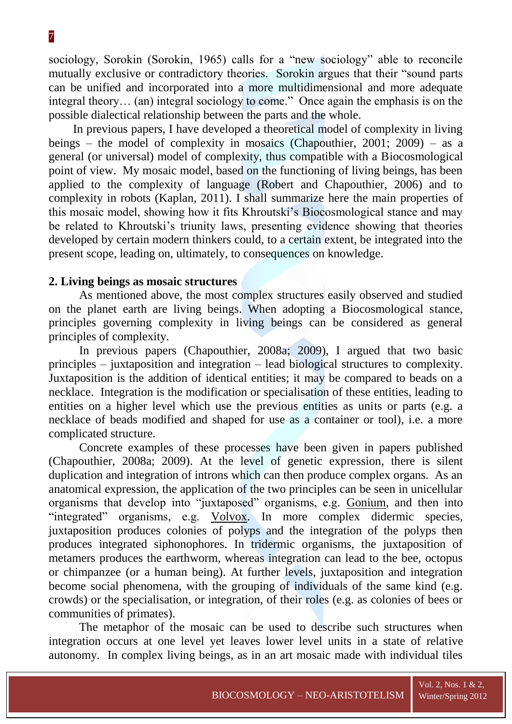sociology, Sorokin (Sorokin, 1965) calls for a "new sociology" able to reconcile mutually exclusive or contradictory theories. Sorokin argues that their "sound parts can be unified and incorporated into a more multidimensional and more adequate integral theory… (an) integral sociology to come." Once again the emphasis is on the possible dialectical relationship between the parts and the whole.

In previous papers, I have developed a theoretical model of complexity in living beings – the model of complexity in mosaics (Chapouthier, 2001; 2009) – as a general (or universal) model of complexity, thus compatible with a Biocosmological point of view. My mosaic model, based on the functioning of living beings, has been applied to the complexity of language (Robert and Chapouthier, 2006) and to complexity in robots (Kaplan, 2011). I shall summarize here the main properties of this mosaic model, showing how it fits Khroutski's Biocosmological stance and may be related to Khroutski's triunity laws, presenting evidence showing that theories developed by certain modern thinkers could, to a certain extent, be integrated into the present scope, leading on, ultimately, to consequences on knowledge.

# **2. Living beings as mosaic structures**

As mentioned above, the most complex structures easily observed and studied on the planet earth are living beings. When adopting a Biocosmological stance, principles governing complexity in living beings can be considered as general principles of complexity.

In previous papers (Chapouthier, 2008a; 2009), I argued that two basic principles – juxtaposition and integration – lead biological structures to complexity. Juxtaposition is the addition of identical entities; it may be compared to beads on a necklace. Integration is the modification or specialisation of these entities, leading to entities on a higher level which use the previous entities as units or parts (e.g. a necklace of beads modified and shaped for use as a container or tool), i.e. a more complicated structure.

Concrete examples of these processes have been given in papers published (Chapouthier, 2008a; 2009). At the level of genetic expression, there is silent duplication and integration of introns which can then produce complex organs. As an anatomical expression, the application of the two principles can be seen in unicellular organisms that develop into "juxtaposed" organisms, e.g. Gonium, and then into "integrated" organisms, e.g. Volvox. In more complex didermic species, juxtaposition produces colonies of polyps and the integration of the polyps then produces integrated siphonophores. In tridermic organisms, the juxtaposition of metamers produces the earthworm, whereas integration can lead to the bee, octopus or chimpanzee (or a human being). At further levels, juxtaposition and integration become social phenomena, with the grouping of individuals of the same kind (e.g. crowds) or the specialisation, or integration, of their roles (e.g. as colonies of bees or communities of primates).

The metaphor of the mosaic can be used to describe such structures when integration occurs at one level yet leaves lower level units in a state of relative autonomy. In complex living beings, as in an art mosaic made with individual tiles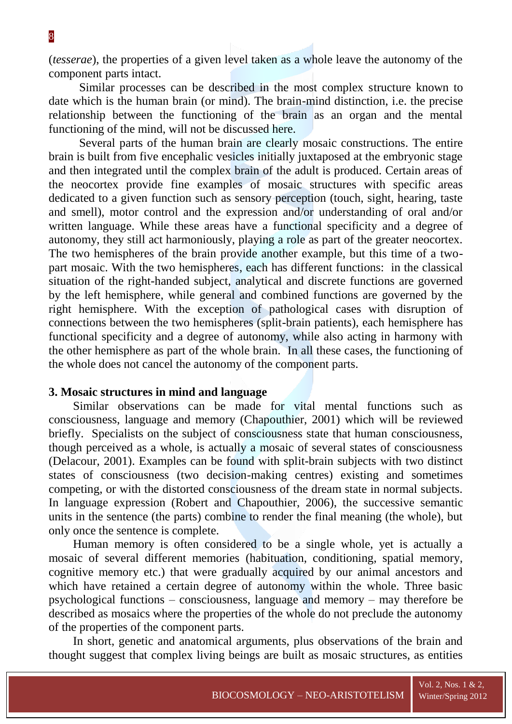(*tesserae*), the properties of a given level taken as a whole leave the autonomy of the component parts intact.

Similar processes can be described in the most complex structure known to date which is the human brain (or mind). The brain-mind distinction, i.e. the precise relationship between the functioning of the brain as an organ and the mental functioning of the mind, will not be discussed here.

Several parts of the human brain are clearly mosaic constructions. The entire brain is built from five encephalic vesicles initially juxtaposed at the embryonic stage and then integrated until the complex brain of the adult is produced. Certain areas of the neocortex provide fine examples of mosaic structures with specific areas dedicated to a given function such as sensory perception (touch, sight, hearing, taste and smell), motor control and the expression and/or understanding of oral and/or written language. While these areas have a functional specificity and a degree of autonomy, they still act harmoniously, playing a role as part of the greater neocortex. The two hemispheres of the brain provide another example, but this time of a twopart mosaic. With the two hemispheres, each has different functions: in the classical situation of the right-handed subject, analytical and discrete functions are governed by the left hemisphere, while general and combined functions are governed by the right hemisphere. With the exception of pathological cases with disruption of connections between the two hemispheres (split-brain patients), each hemisphere has functional specificity and a degree of autonomy, while also acting in harmony with the other hemisphere as part of the whole brain. In all these cases, the functioning of the whole does not cancel the autonomy of the component parts.

### **3. Mosaic structures in mind and language**

Similar observations can be made for vital mental functions such as consciousness, language and memory (Chapouthier, 2001) which will be reviewed briefly. Specialists on the subject of consciousness state that human consciousness, though perceived as a whole, is actually a mosaic of several states of consciousness (Delacour, 2001). Examples can be found with split-brain subjects with two distinct states of consciousness (two decision-making centres) existing and sometimes competing, or with the distorted consciousness of the dream state in normal subjects. In language expression (Robert and Chapouthier, 2006), the successive semantic units in the sentence (the parts) combine to render the final meaning (the whole), but only once the sentence is complete.

Human memory is often considered to be a single whole, yet is actually a mosaic of several different memories (habituation, conditioning, spatial memory, cognitive memory etc.) that were gradually acquired by our animal ancestors and which have retained a certain degree of autonomy within the whole. Three basic psychological functions – consciousness, language and memory – may therefore be described as mosaics where the properties of the whole do not preclude the autonomy of the properties of the component parts.

In short, genetic and anatomical arguments, plus observations of the brain and thought suggest that complex living beings are built as mosaic structures, as entities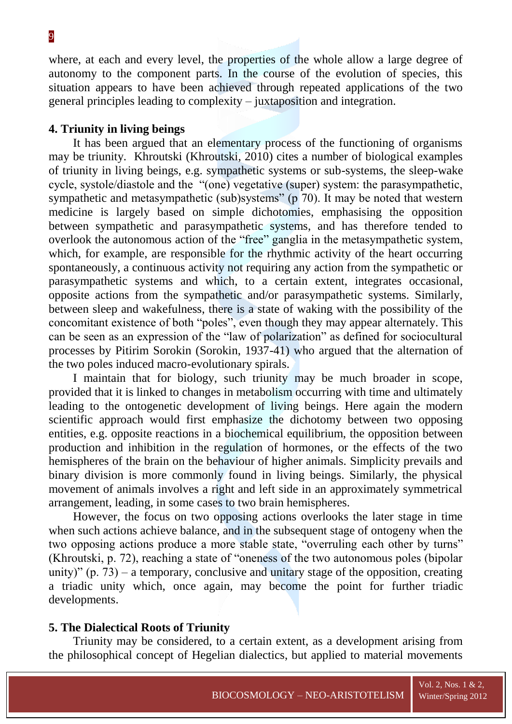where, at each and every level, the properties of the whole allow a large degree of autonomy to the component parts. In the course of the evolution of species, this situation appears to have been achieved through repeated applications of the two general principles leading to complexity – juxtaposition and integration.

# **4. Triunity in living beings**

It has been argued that an elementary process of the functioning of organisms may be triunity. Khroutski (Khroutski, 2010) cites a number of biological examples of triunity in living beings, e.g. sympathetic systems or sub-systems, the sleep-wake cycle, systole/diastole and the "(one) vegetative (super) system: the parasympathetic, sympathetic and metasympathetic (sub)systems" (p 70). It may be noted that western medicine is largely based on simple dichotomies, emphasising the opposition between sympathetic and parasympathetic systems, and has therefore tended to overlook the autonomous action of the "free" ganglia in the metasympathetic system, which, for example, are responsible for the rhythmic activity of the heart occurring spontaneously, a continuous activity not requiring any action from the sympathetic or parasympathetic systems and which, to a certain extent, integrates occasional, opposite actions from the sympathetic and/or parasympathetic systems. Similarly, between sleep and wakefulness, there is a state of waking with the possibility of the concomitant existence of both "poles", even though they may appear alternately. This can be seen as an expression of the "law of polarization" as defined for sociocultural processes by Pitirim Sorokin (Sorokin, 1937-41) who argued that the alternation of the two poles induced macro-evolutionary spirals.

I maintain that for biology, such triunity may be much broader in scope, provided that it is linked to changes in metabolism occurring with time and ultimately leading to the ontogenetic development of living beings. Here again the modern scientific approach would first emphasize the dichotomy between two opposing entities, e.g. opposite reactions in a biochemical equilibrium, the opposition between production and inhibition in the regulation of hormones, or the effects of the two hemispheres of the brain on the behaviour of higher animals. Simplicity prevails and binary division is more commonly found in living beings. Similarly, the physical movement of animals involves a right and left side in an approximately symmetrical arrangement, leading, in some cases to two brain hemispheres.

However, the focus on two opposing actions overlooks the later stage in time when such actions achieve balance, and in the subsequent stage of ontogeny when the two opposing actions produce a more stable state, "overruling each other by turns" (Khroutski, p. 72), reaching a state of "oneness of the two autonomous poles (bipolar unity)"  $(p. 73)$  – a temporary, conclusive and unitary stage of the opposition, creating a triadic unity which, once again, may become the point for further triadic developments.

# **5. The Dialectical Roots of Triunity**

Triunity may be considered, to a certain extent, as a development arising from the philosophical concept of Hegelian dialectics, but applied to material movements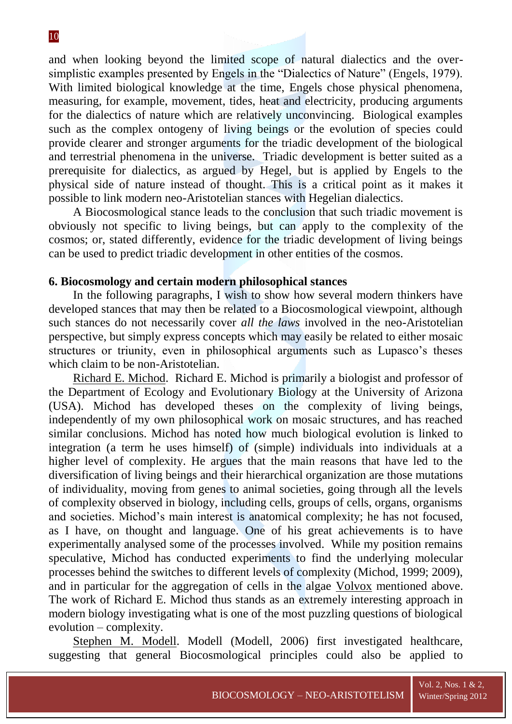and when looking beyond the limited scope of natural dialectics and the oversimplistic examples presented by Engels in the "Dialectics of Nature" (Engels, 1979). With limited biological knowledge at the time, Engels chose physical phenomena, measuring, for example, movement, tides, heat and electricity, producing arguments for the dialectics of nature which are relatively unconvincing. Biological examples such as the complex ontogeny of living beings or the evolution of species could provide clearer and stronger arguments for the triadic development of the biological and terrestrial phenomena in the universe. Triadic development is better suited as a prerequisite for dialectics, as argued by Hegel, but is applied by Engels to the physical side of nature instead of thought. This is a critical point as it makes it possible to link modern neo-Aristotelian stances with Hegelian dialectics.

A Biocosmological stance leads to the conclusion that such triadic movement is obviously not specific to living beings, but can apply to the complexity of the cosmos; or, stated differently, evidence for the triadic development of living beings can be used to predict triadic development in other entities of the cosmos.

### **6. Biocosmology and certain modern philosophical stances**

In the following paragraphs, I wish to show how several modern thinkers have developed stances that may then be related to a Biocosmological viewpoint, although such stances do not necessarily cover *all the laws* involved in the neo-Aristotelian perspective, but simply express concepts which may easily be related to either mosaic structures or triunity, even in philosophical arguments such as Lupasco's theses which claim to be non-Aristotelian.

Richard E. Michod. Richard E. Michod is primarily a biologist and professor of the Department of Ecology and Evolutionary Biology at the University of Arizona (USA). Michod has developed theses on the complexity of living beings, independently of my own philosophical work on mosaic structures, and has reached similar conclusions. Michod has noted how much biological evolution is linked to integration (a term he uses himself) of (simple) individuals into individuals at a higher level of complexity. He argues that the main reasons that have led to the diversification of living beings and their hierarchical organization are those mutations of individuality, moving from genes to animal societies, going through all the levels of complexity observed in biology, including cells, groups of cells, organs, organisms and societies. Michod's main interest is anatomical complexity; he has not focused, as I have, on thought and language. One of his great achievements is to have experimentally analysed some of the processes involved. While my position remains speculative, Michod has conducted experiments to find the underlying molecular processes behind the switches to different levels of complexity (Michod, 1999; 2009), and in particular for the aggregation of cells in the algae Volvox mentioned above. The work of Richard E. Michod thus stands as an extremely interesting approach in modern biology investigating what is one of the most puzzling questions of biological evolution – complexity.

Stephen M. Modell. Modell (Modell, 2006) first investigated healthcare, suggesting that general Biocosmological principles could also be applied to

Vol. 2, Nos. 1 & 2,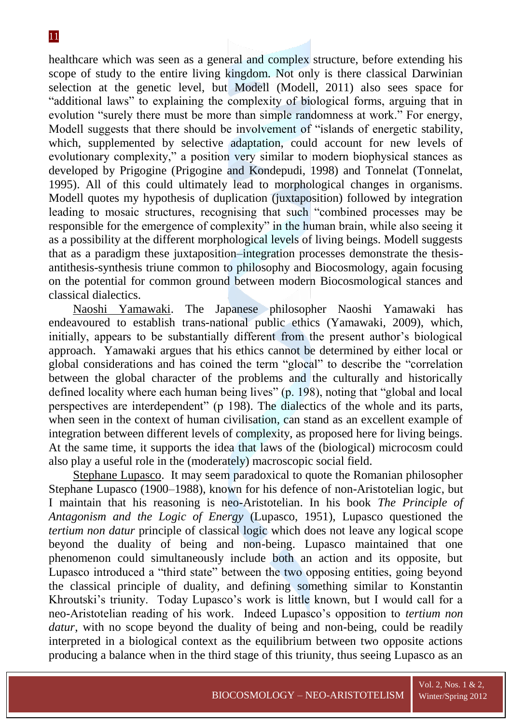healthcare which was seen as a general and complex structure, before extending his scope of study to the entire living kingdom. Not only is there classical Darwinian selection at the genetic level, but Modell (Modell, 2011) also sees space for "additional laws" to explaining the complexity of biological forms, arguing that in evolution "surely there must be more than simple randomness at work." For energy, Modell suggests that there should be involvement of "islands of energetic stability, which, supplemented by selective adaptation, could account for new levels of evolutionary complexity," a position very similar to modern biophysical stances as developed by Prigogine (Prigogine and Kondepudi, 1998) and Tonnelat (Tonnelat, 1995). All of this could ultimately lead to morphological changes in organisms. Modell quotes my hypothesis of duplication (juxtaposition) followed by integration leading to mosaic structures, recognising that such "combined processes may be responsible for the emergence of complexity" in the human brain, while also seeing it as a possibility at the different morphological levels of living beings. Modell suggests that as a paradigm these juxtaposition–integration processes demonstrate the thesisantithesis-synthesis triune common to philosophy and Biocosmology, again focusing on the potential for common ground between modern Biocosmological stances and classical dialectics.

Naoshi Yamawaki. The Japanese philosopher Naoshi Yamawaki has endeavoured to establish trans-national public ethics (Yamawaki, 2009), which, initially, appears to be substantially different from the present author's biological approach. Yamawaki argues that his ethics cannot be determined by either local or global considerations and has coined the term "glocal" to describe the "correlation between the global character of the problems and the culturally and historically defined locality where each human being lives" (p. 198), noting that "global and local perspectives are interdependent" (p 198). The dialectics of the whole and its parts, when seen in the context of human civilisation, can stand as an excellent example of integration between different levels of complexity, as proposed here for living beings. At the same time, it supports the idea that laws of the (biological) microcosm could also play a useful role in the (moderately) macroscopic social field.

Stephane Lupasco. It may seem paradoxical to quote the Romanian philosopher Stephane Lupasco (1900–1988), known for his defence of non-Aristotelian logic, but I maintain that his reasoning is neo-Aristotelian. In his book *The Principle of Antagonism and the Logic of Energy* (Lupasco, 1951), Lupasco questioned the *tertium non datur* principle of classical logic which does not leave any logical scope beyond the duality of being and non-being. Lupasco maintained that one phenomenon could simultaneously include both an action and its opposite, but Lupasco introduced a "third state" between the two opposing entities, going beyond the classical principle of duality, and defining something similar to Konstantin Khroutski's triunity. Today Lupasco's work is little known, but I would call for a neo-Aristotelian reading of his work. Indeed Lupasco's opposition to *tertium non datur*, with no scope beyond the duality of being and non-being, could be readily interpreted in a biological context as the equilibrium between two opposite actions producing a balance when in the third stage of this triunity, thus seeing Lupasco as an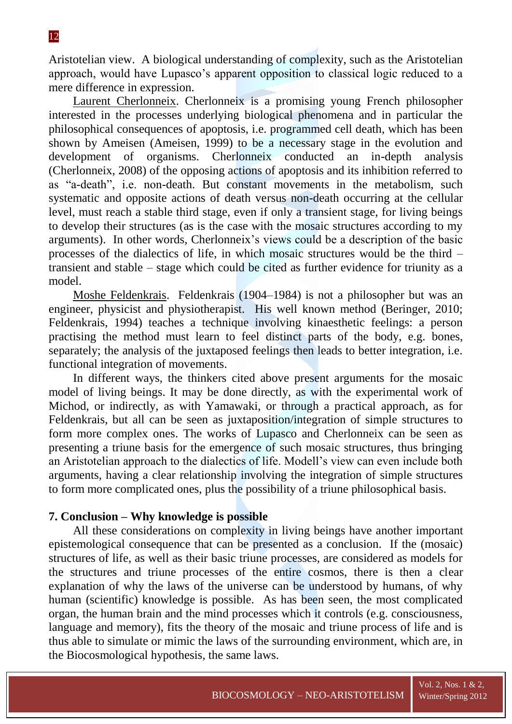Aristotelian view. A biological understanding of complexity, such as the Aristotelian approach, would have Lupasco's apparent opposition to classical logic reduced to a mere difference in expression.

Laurent Cherlonneix. Cherlonneix is a promising young French philosopher interested in the processes underlying biological phenomena and in particular the philosophical consequences of apoptosis, i.e. programmed cell death, which has been shown by Ameisen (Ameisen, 1999) to be a necessary stage in the evolution and development of organisms. Cherlonneix conducted an in-depth analysis (Cherlonneix, 2008) of the opposing actions of apoptosis and its inhibition referred to as "a-death", i.e. non-death. But constant movements in the metabolism, such systematic and opposite actions of death versus non-death occurring at the cellular level, must reach a stable third stage, even if only a transient stage, for living beings to develop their structures (as is the case with the mosaic structures according to my arguments). In other words, Cherlonneix's views could be a description of the basic processes of the dialectics of life, in which mosaic structures would be the third – transient and stable – stage which could be cited as further evidence for triunity as a model.

Moshe Feldenkrais. Feldenkrais (1904–1984) is not a philosopher but was an engineer, physicist and physiotherapist. His well known method (Beringer, 2010; Feldenkrais, 1994) teaches a technique involving kinaesthetic feelings: a person practising the method must learn to feel distinct parts of the body, e.g. bones, separately; the analysis of the juxtaposed feelings then leads to better integration, i.e. functional integration of movements.

In different ways, the thinkers cited above present arguments for the mosaic model of living beings. It may be done directly, as with the experimental work of Michod, or indirectly, as with Yamawaki, or through a practical approach, as for Feldenkrais, but all can be seen as juxtaposition/integration of simple structures to form more complex ones. The works of Lupasco and Cherlonneix can be seen as presenting a triune basis for the emergence of such mosaic structures, thus bringing an Aristotelian approach to the dialectics of life. Modell's view can even include both arguments, having a clear relationship involving the integration of simple structures to form more complicated ones, plus the possibility of a triune philosophical basis.

# **7. Conclusion – Why knowledge is possible**

All these considerations on complexity in living beings have another important epistemological consequence that can be presented as a conclusion. If the (mosaic) structures of life, as well as their basic triune processes, are considered as models for the structures and triune processes of the entire cosmos, there is then a clear explanation of why the laws of the universe can be understood by humans, of why human (scientific) knowledge is possible. As has been seen, the most complicated organ, the human brain and the mind processes which it controls (e.g. consciousness, language and memory), fits the theory of the mosaic and triune process of life and is thus able to simulate or mimic the laws of the surrounding environment, which are, in the Biocosmological hypothesis, the same laws.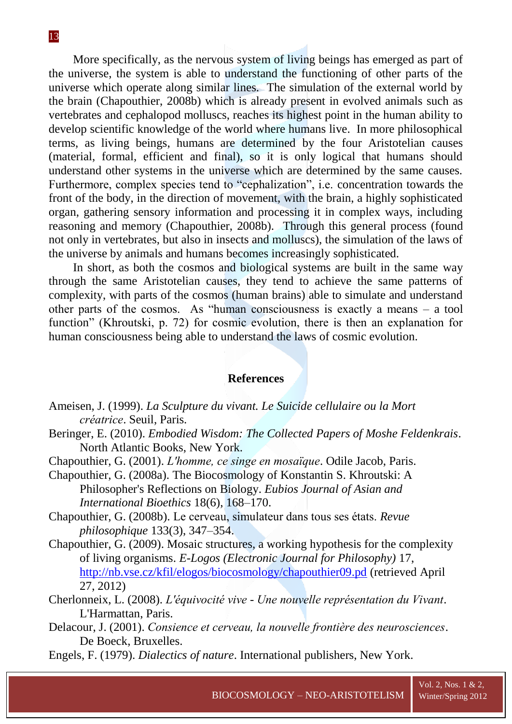More specifically, as the nervous system of living beings has emerged as part of the universe, the system is able to understand the functioning of other parts of the universe which operate along similar lines. The simulation of the external world by the brain (Chapouthier, 2008b) which is already present in evolved animals such as vertebrates and cephalopod molluscs, reaches its highest point in the human ability to develop scientific knowledge of the world where humans live. In more philosophical terms, as living beings, humans are determined by the four Aristotelian causes (material, formal, efficient and final), so it is only logical that humans should understand other systems in the universe which are determined by the same causes. Furthermore, complex species tend to "cephalization", i.e. concentration towards the front of the body, in the direction of movement, with the brain, a highly sophisticated organ, gathering sensory information and processing it in complex ways, including reasoning and memory (Chapouthier, 2008b). Through this general process (found not only in vertebrates, but also in insects and molluscs), the simulation of the laws of the universe by animals and humans becomes increasingly sophisticated.

In short, as both the cosmos and biological systems are built in the same way through the same Aristotelian causes, they tend to achieve the same patterns of complexity, with parts of the cosmos (human brains) able to simulate and understand other parts of the cosmos. As "human consciousness is exactly a means – a tool function" (Khroutski, p. 72) for cosmic evolution, there is then an explanation for human consciousness being able to understand the laws of cosmic evolution.

#### **References**

- Ameisen, J. (1999). *La Sculpture du vivant. Le Suicide cellulaire ou la Mort créatrice*. Seuil, Paris.
- Beringer, E. (2010). *Embodied Wisdom: The Collected Papers of Moshe Feldenkrais*. North Atlantic Books, New York.
- Chapouthier, G. (2001). *L'homme, ce singe en mosaïque*. Odile Jacob, Paris.
- Chapouthier, G. (2008a). The Biocosmology of Konstantin S. Khroutski: A Philosopher's Reflections on Biology. *Eubios Journal of Asian and International Bioethics* 18(6), 168–170.
- Chapouthier, G. (2008b). Le cerveau, simulateur dans tous ses états. *Revue philosophique* 133(3), 347–354.
- Chapouthier, G. (2009). Mosaic structures, a working hypothesis for the complexity of living organisms. *E-Logos (Electronic Journal for Philosophy)* 17, <http://nb.vse.cz/kfil/elogos/biocosmology/chapouthier09.pd> (retrieved April 27, 2012)
- Cherlonneix, L. (2008). *L'équivocité vive - Une nouvelle représentation du Vivant*. L'Harmattan, Paris.
- Delacour, J. (2001). *Consience et cerveau, la nouvelle frontière des neurosciences*. De Boeck, Bruxelles.
- Engels, F. (1979). *Dialectics of nature*. International publishers, New York.

Vol. 2, Nos. 1 & 2,